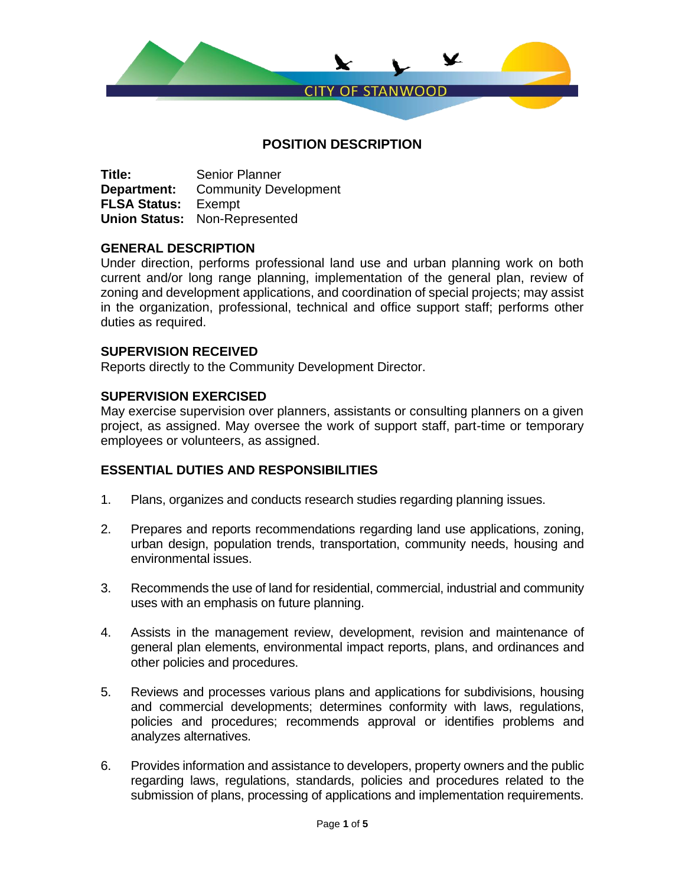

**Title:** Senior Planner **Department:** Community Development **FLSA Status:** Exempt **Union Status:** Non-Represented

## **GENERAL DESCRIPTION**

Under direction, performs professional land use and urban planning work on both current and/or long range planning, implementation of the general plan, review of zoning and development applications, and coordination of special projects; may assist in the organization, professional, technical and office support staff; performs other duties as required.

## **SUPERVISION RECEIVED**

Reports directly to the Community Development Director.

## **SUPERVISION EXERCISED**

May exercise supervision over planners, assistants or consulting planners on a given project, as assigned. May oversee the work of support staff, part-time or temporary employees or volunteers, as assigned.

# **ESSENTIAL DUTIES AND RESPONSIBILITIES**

- 1. Plans, organizes and conducts research studies regarding planning issues.
- 2. Prepares and reports recommendations regarding land use applications, zoning, urban design, population trends, transportation, community needs, housing and environmental issues.
- 3. Recommends the use of land for residential, commercial, industrial and community uses with an emphasis on future planning.
- 4. Assists in the management review, development, revision and maintenance of general plan elements, environmental impact reports, plans, and ordinances and other policies and procedures.
- 5. Reviews and processes various plans and applications for subdivisions, housing and commercial developments; determines conformity with laws, regulations, policies and procedures; recommends approval or identifies problems and analyzes alternatives.
- 6. Provides information and assistance to developers, property owners and the public regarding laws, regulations, standards, policies and procedures related to the submission of plans, processing of applications and implementation requirements.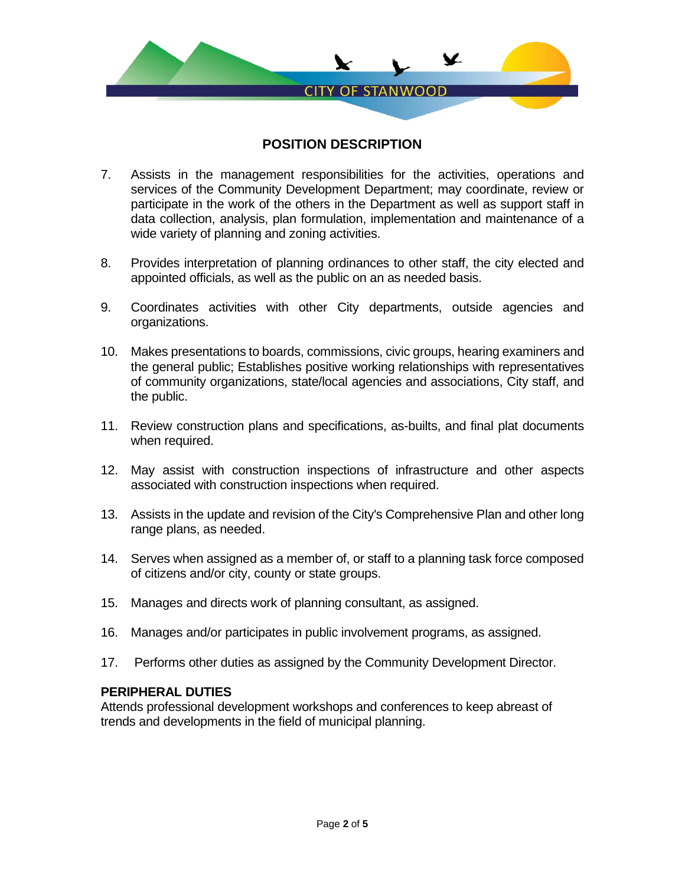

- 7. Assists in the management responsibilities for the activities, operations and services of the Community Development Department; may coordinate, review or participate in the work of the others in the Department as well as support staff in data collection, analysis, plan formulation, implementation and maintenance of a wide variety of planning and zoning activities.
- 8. Provides interpretation of planning ordinances to other staff, the city elected and appointed officials, as well as the public on an as needed basis.
- 9. Coordinates activities with other City departments, outside agencies and organizations.
- 10. Makes presentations to boards, commissions, civic groups, hearing examiners and the general public; Establishes positive working relationships with representatives of community organizations, state/local agencies and associations, City staff, and the public.
- 11. Review construction plans and specifications, as-builts, and final plat documents when required.
- 12. May assist with construction inspections of infrastructure and other aspects associated with construction inspections when required.
- 13. Assists in the update and revision of the City's Comprehensive Plan and other long range plans, as needed.
- 14. Serves when assigned as a member of, or staff to a planning task force composed of citizens and/or city, county or state groups.
- 15. Manages and directs work of planning consultant, as assigned.
- 16. Manages and/or participates in public involvement programs, as assigned.
- 17. Performs other duties as assigned by the Community Development Director.

## **PERIPHERAL DUTIES**

Attends professional development workshops and conferences to keep abreast of trends and developments in the field of municipal planning.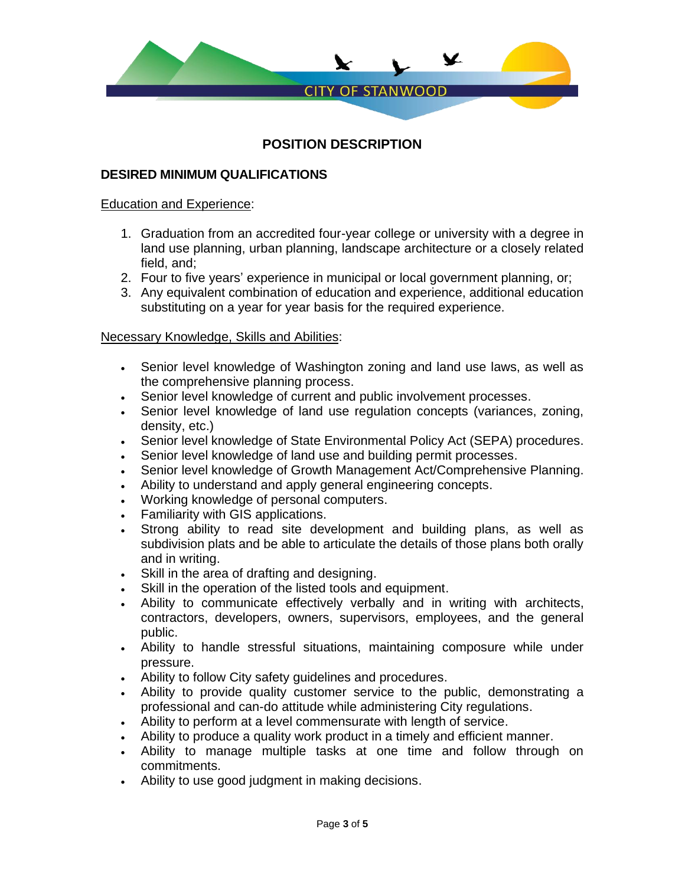

# **DESIRED MINIMUM QUALIFICATIONS**

#### Education and Experience:

- 1. Graduation from an accredited four-year college or university with a degree in land use planning, urban planning, landscape architecture or a closely related field, and;
- 2. Four to five years' experience in municipal or local government planning, or;
- 3. Any equivalent combination of education and experience, additional education substituting on a year for year basis for the required experience.

## Necessary Knowledge, Skills and Abilities:

- Senior level knowledge of Washington zoning and land use laws, as well as the comprehensive planning process.
- Senior level knowledge of current and public involvement processes.
- Senior level knowledge of land use regulation concepts (variances, zoning, density, etc.)
- Senior level knowledge of State Environmental Policy Act (SEPA) procedures.
- Senior level knowledge of land use and building permit processes.
- Senior level knowledge of Growth Management Act/Comprehensive Planning.
- Ability to understand and apply general engineering concepts.
- Working knowledge of personal computers.
- Familiarity with GIS applications.
- Strong ability to read site development and building plans, as well as subdivision plats and be able to articulate the details of those plans both orally and in writing.
- Skill in the area of drafting and designing.
- Skill in the operation of the listed tools and equipment.
- Ability to communicate effectively verbally and in writing with architects, contractors, developers, owners, supervisors, employees, and the general public.
- Ability to handle stressful situations, maintaining composure while under pressure.
- Ability to follow City safety guidelines and procedures.
- Ability to provide quality customer service to the public, demonstrating a professional and can-do attitude while administering City regulations.
- Ability to perform at a level commensurate with length of service.
- Ability to produce a quality work product in a timely and efficient manner.
- Ability to manage multiple tasks at one time and follow through on commitments.
- Ability to use good judgment in making decisions.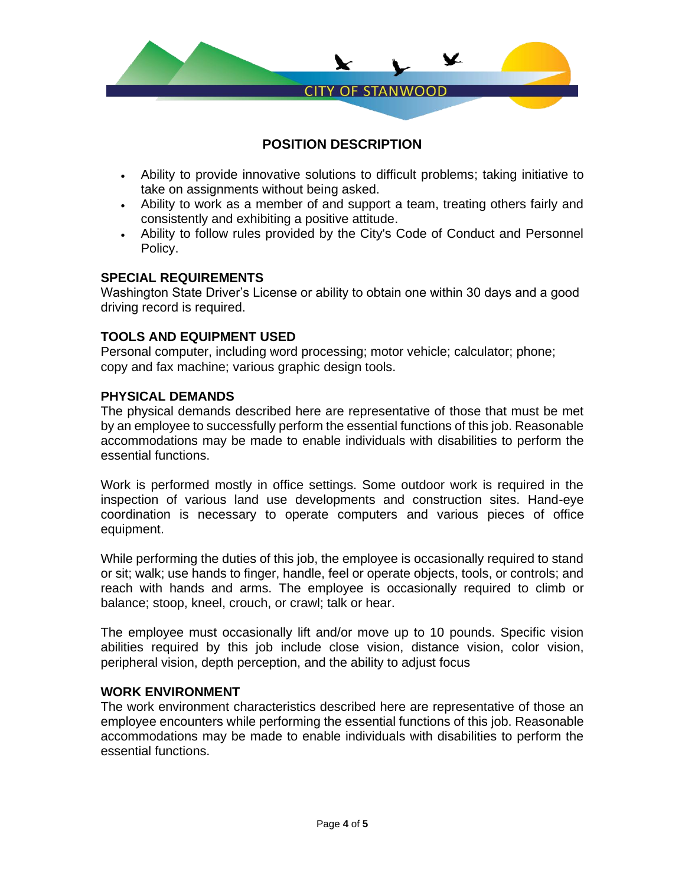

- Ability to provide innovative solutions to difficult problems; taking initiative to take on assignments without being asked.
- Ability to work as a member of and support a team, treating others fairly and consistently and exhibiting a positive attitude.
- Ability to follow rules provided by the City's Code of Conduct and Personnel Policy.

## **SPECIAL REQUIREMENTS**

Washington State Driver's License or ability to obtain one within 30 days and a good driving record is required.

## **TOOLS AND EQUIPMENT USED**

Personal computer, including word processing; motor vehicle; calculator; phone; copy and fax machine; various graphic design tools.

## **PHYSICAL DEMANDS**

The physical demands described here are representative of those that must be met by an employee to successfully perform the essential functions of this job. Reasonable accommodations may be made to enable individuals with disabilities to perform the essential functions.

Work is performed mostly in office settings. Some outdoor work is required in the inspection of various land use developments and construction sites. Hand-eye coordination is necessary to operate computers and various pieces of office equipment.

While performing the duties of this job, the employee is occasionally required to stand or sit; walk; use hands to finger, handle, feel or operate objects, tools, or controls; and reach with hands and arms. The employee is occasionally required to climb or balance; stoop, kneel, crouch, or crawl; talk or hear.

The employee must occasionally lift and/or move up to 10 pounds. Specific vision abilities required by this job include close vision, distance vision, color vision, peripheral vision, depth perception, and the ability to adjust focus

## **WORK ENVIRONMENT**

The work environment characteristics described here are representative of those an employee encounters while performing the essential functions of this job. Reasonable accommodations may be made to enable individuals with disabilities to perform the essential functions.